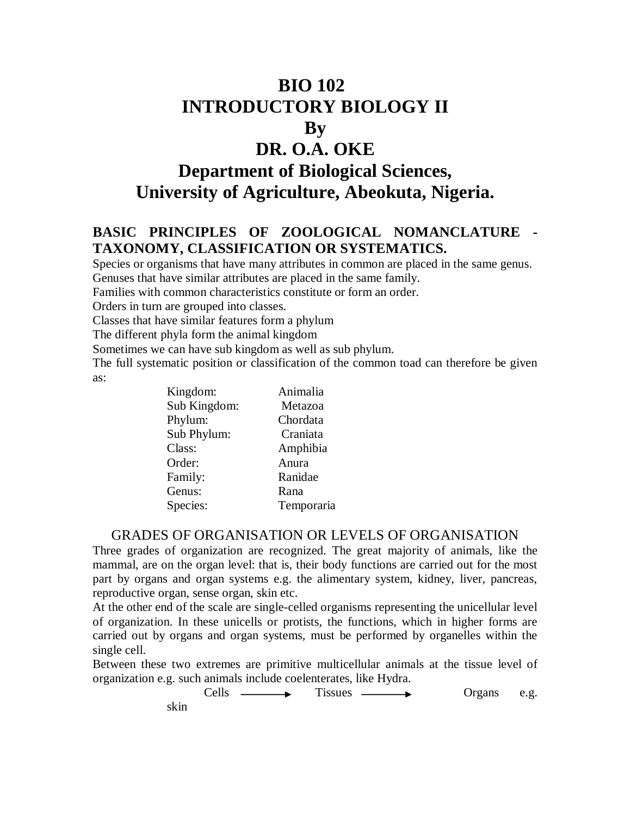# **BIO 102 INTRODUCTORY BIOLOGY II By DR. O.A. OKE Department of Biological Sciences,**

**University of Agriculture, Abeokuta, Nigeria.** 

# **BASIC PRINCIPLES OF ZOOLOGICAL NOMANCLATURE - TAXONOMY, CLASSIFICATION OR SYSTEMATICS.**

Species or organisms that have many attributes in common are placed in the same genus. Genuses that have similar attributes are placed in the same family.

Families with common characteristics constitute or form an order.

Orders in turn are grouped into classes.

Classes that have similar features form a phylum

The different phyla form the animal kingdom

Sometimes we can have sub kingdom as well as sub phylum.

The full systematic position or classification of the common toad can therefore be given as:

| Kingdom:     | Animalia   |
|--------------|------------|
| Sub Kingdom: | Metazoa    |
| Phylum:      | Chordata   |
| Sub Phylum:  | Craniata   |
| Class:       | Amphibia   |
| Order:       | Anura      |
| Family:      | Ranidae    |
| Genus:       | Rana       |
| Species:     | Temporaria |

#### GRADES OF ORGANISATION OR LEVELS OF ORGANISATION

Three grades of organization are recognized. The great majority of animals, like the mammal, are on the organ level: that is, their body functions are carried out for the most part by organs and organ systems e.g. the alimentary system, kidney, liver, pancreas, reproductive organ, sense organ, skin etc.

At the other end of the scale are single-celled organisms representing the unicellular level of organization. In these unicells or protists, the functions, which in higher forms are carried out by organs and organ systems, must be performed by organelles within the single cell.

Between these two extremes are primitive multicellular animals at the tissue level of organization e.g. such animals include coelenterates, like Hydra.

> $Cells \longrightarrow \text{Tissues} \longrightarrow \text{Organs} \quad e.g.$ skin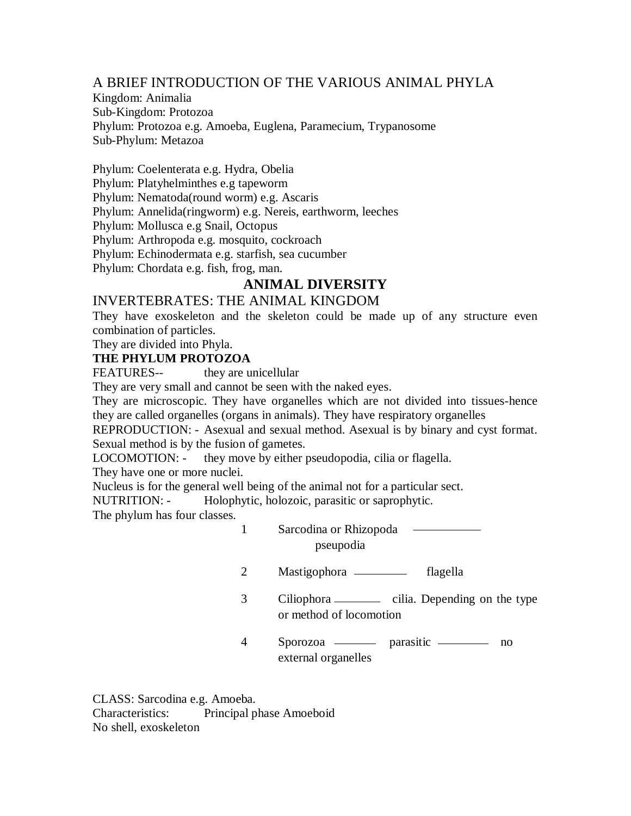# A BRIEF INTRODUCTION OF THE VARIOUS ANIMAL PHYLA

Kingdom: Animalia Sub-Kingdom: Protozoa Phylum: Protozoa e.g. Amoeba, Euglena, Paramecium, Trypanosome Sub-Phylum: Metazoa

Phylum: Coelenterata e.g. Hydra, Obelia Phylum: Platyhelminthes e.g tapeworm Phylum: Nematoda(round worm) e.g. Ascaris Phylum: Annelida(ringworm) e.g. Nereis, earthworm, leeches Phylum: Mollusca e.g Snail, Octopus Phylum: Arthropoda e.g. mosquito, cockroach Phylum: Echinodermata e.g. starfish, sea cucumber Phylum: Chordata e.g. fish, frog, man.

# **ANIMAL DIVERSITY**

## INVERTEBRATES: THE ANIMAL KINGDOM

They have exoskeleton and the skeleton could be made up of any structure even combination of particles.

They are divided into Phyla.

#### **THE PHYLUM PROTOZOA**

FEATURES-- they are unicellular

They are very small and cannot be seen with the naked eyes.

They are microscopic. They have organelles which are not divided into tissues-hence they are called organelles (organs in animals). They have respiratory organelles

REPRODUCTION: - Asexual and sexual method. Asexual is by binary and cyst format. Sexual method is by the fusion of gametes.

LOCOMOTION: - they move by either pseudopodia, cilia or flagella.

They have one or more nuclei.

Nucleus is for the general well being of the animal not for a particular sect.

NUTRITION: - Holophytic, holozoic, parasitic or saprophytic.

The phylum has four classes.

- 1 Sarcodina or Rhizopoda pseupodia
- 2 Mastigophora flagella
- 3 Ciliophora cilia. Depending on the type or method of locomotion
- 4 Sporozoa parasitic no external organelles

CLASS: Sarcodina e.g. Amoeba. Characteristics: Principal phase Amoeboid No shell, exoskeleton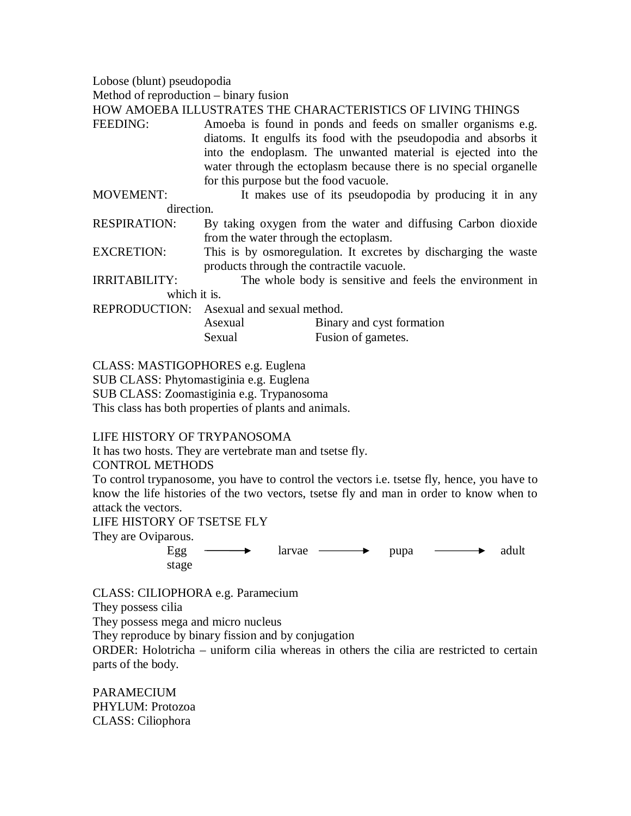Lobose (blunt) pseudopodia

Method of reproduction – binary fusion

HOW AMOEBA ILLUSTRATES THE CHARACTERISTICS OF LIVING THINGS

- FEEDING: Amoeba is found in ponds and feeds on smaller organisms e.g. diatoms. It engulfs its food with the pseudopodia and absorbs it into the endoplasm. The unwanted material is ejected into the water through the ectoplasm because there is no special organelle for this purpose but the food vacuole.
- MOVEMENT: It makes use of its pseudopodia by producing it in any direction.
- RESPIRATION: By taking oxygen from the water and diffusing Carbon dioxide from the water through the ectoplasm.
- EXCRETION: This is by osmoregulation. It excretes by discharging the waste products through the contractile vacuole.

IRRITABILITY: The whole body is sensitive and feels the environment in which it is.

REPRODUCTION: Asexual and sexual method.

| Asexual | Binary and cyst formation |
|---------|---------------------------|
| Sexual  | Fusion of gametes.        |

CLASS: MASTIGOPHORES e.g. Euglena

SUB CLASS: Phytomastiginia e.g. Euglena

SUB CLASS: Zoomastiginia e.g. Trypanosoma

This class has both properties of plants and animals.

#### LIFE HISTORY OF TRYPANOSOMA

It has two hosts. They are vertebrate man and tsetse fly.

#### CONTROL METHODS

To control trypanosome, you have to control the vectors i.e. tsetse fly, hence, you have to know the life histories of the two vectors, tsetse fly and man in order to know when to attack the vectors.

#### LIFE HISTORY OF TSETSE FLY

They are Oviparous.

Egg  $\longrightarrow$  larvae  $\longrightarrow$  pupa  $\longrightarrow$  adult stage

CLASS: CILIOPHORA e.g. Paramecium

They possess cilia

They possess mega and micro nucleus

They reproduce by binary fission and by conjugation

ORDER: Holotricha – uniform cilia whereas in others the cilia are restricted to certain parts of the body.

PARAMECIUM PHYLUM: Protozoa CLASS: Ciliophora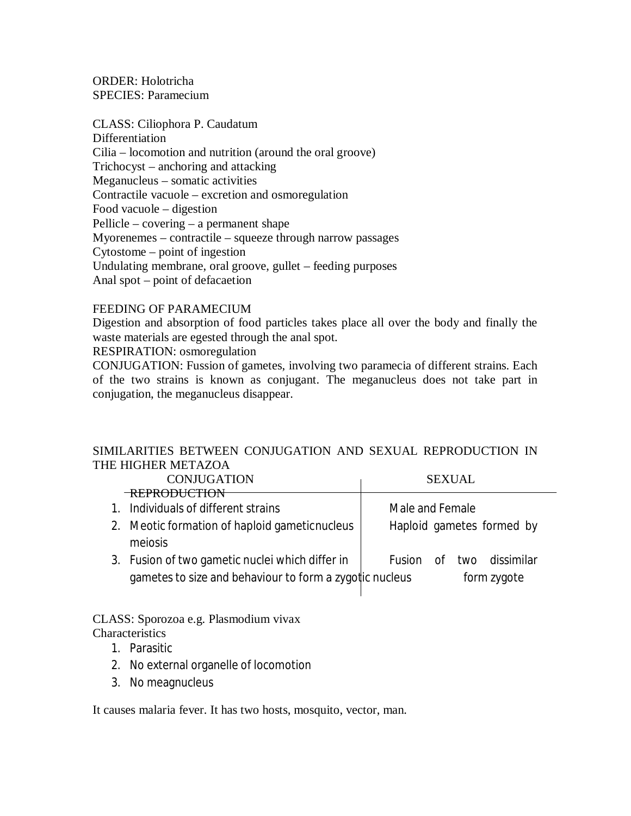ORDER: Holotricha SPECIES: Paramecium

CLASS: Ciliophora P. Caudatum Differentiation Cilia – locomotion and nutrition (around the oral groove) Trichocyst – anchoring and attacking Meganucleus – somatic activities Contractile vacuole – excretion and osmoregulation Food vacuole – digestion Pellicle – covering – a permanent shape Myorenemes – contractile – squeeze through narrow passages Cytostome – point of ingestion Undulating membrane, oral groove, gullet – feeding purposes Anal spot – point of defacaetion

#### FEEDING OF PARAMECIUM

Digestion and absorption of food particles takes place all over the body and finally the waste materials are egested through the anal spot.

RESPIRATION: osmoregulation

CONJUGATION: Fussion of gametes, involving two paramecia of different strains. Each of the two strains is known as conjugant. The meganucleus does not take part in conjugation, the meganucleus disappear.

## SIMILARITIES BETWEEN CONJUGATION AND SEXUAL REPRODUCTION IN THE HIGHER METAZOA

| <b>CONJUGATION</b>                                                                                         | <b>SEXUAL</b>                              |  |  |  |
|------------------------------------------------------------------------------------------------------------|--------------------------------------------|--|--|--|
| <b>REPRODUCTION</b>                                                                                        |                                            |  |  |  |
| 1. Individuals of different strains                                                                        | Male and Female                            |  |  |  |
| 2. Meotic formation of haploid gametic nucleus<br>meiosis                                                  | Haploid gametes formed by                  |  |  |  |
| 3. Fusion of two gametic nuclei which differ in<br>gametes to size and behaviour to form a zygotic nucleus | of two dissimilar<br>Fusion<br>form zygote |  |  |  |

#### CLASS: Sporozoa e.g. Plasmodium vivax **Characteristics**

- 1. Parasitic
- 2. No external organelle of locomotion
- 3. No meagnucleus

It causes malaria fever. It has two hosts, mosquito, vector, man.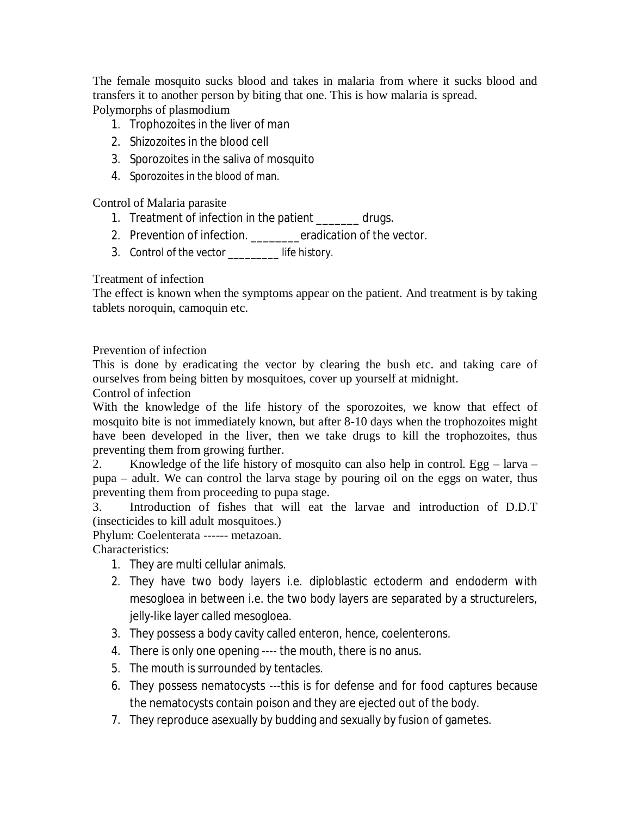The female mosquito sucks blood and takes in malaria from where it sucks blood and transfers it to another person by biting that one. This is how malaria is spread. Polymorphs of plasmodium

- 1. Trophozoites in the liver of man
- 2. Shizozoites in the blood cell
- 3. Sporozoites in the saliva of mosquito
- 4. Sporozoites in the blood of man.

Control of Malaria parasite

- 1. Treatment of infection in the patient \_\_\_\_\_\_\_ drugs.
- 2. Prevention of infection. \_\_\_\_\_\_\_\_eradication of the vector.
- 3. Control of the vector \_\_\_\_\_\_\_\_\_ life history.

Treatment of infection

The effect is known when the symptoms appear on the patient. And treatment is by taking tablets noroquin, camoquin etc.

Prevention of infection

This is done by eradicating the vector by clearing the bush etc. and taking care of ourselves from being bitten by mosquitoes, cover up yourself at midnight.

Control of infection

With the knowledge of the life history of the sporozoites, we know that effect of mosquito bite is not immediately known, but after 8-10 days when the trophozoites might have been developed in the liver, then we take drugs to kill the trophozoites, thus preventing them from growing further.

2. Knowledge of the life history of mosquito can also help in control. Egg – larva – pupa – adult. We can control the larva stage by pouring oil on the eggs on water, thus preventing them from proceeding to pupa stage.

3. Introduction of fishes that will eat the larvae and introduction of D.D.T (insecticides to kill adult mosquitoes.)

Phylum: Coelenterata ------ metazoan.

Characteristics:

- 1. They are multi cellular animals.
- 2. They have two body layers i.e. diploblastic ectoderm and endoderm with mesogloea in between i.e. the two body layers are separated by a structurelers, jelly-like layer called mesogloea.
- 3. They possess a body cavity called enteron, hence, coelenterons.
- 4. There is only one opening ---- the mouth, there is no anus.
- 5. The mouth is surrounded by tentacles.
- 6. They possess nematocysts ---this is for defense and for food captures because the nematocysts contain poison and they are ejected out of the body.
- 7. They reproduce asexually by budding and sexually by fusion of gametes.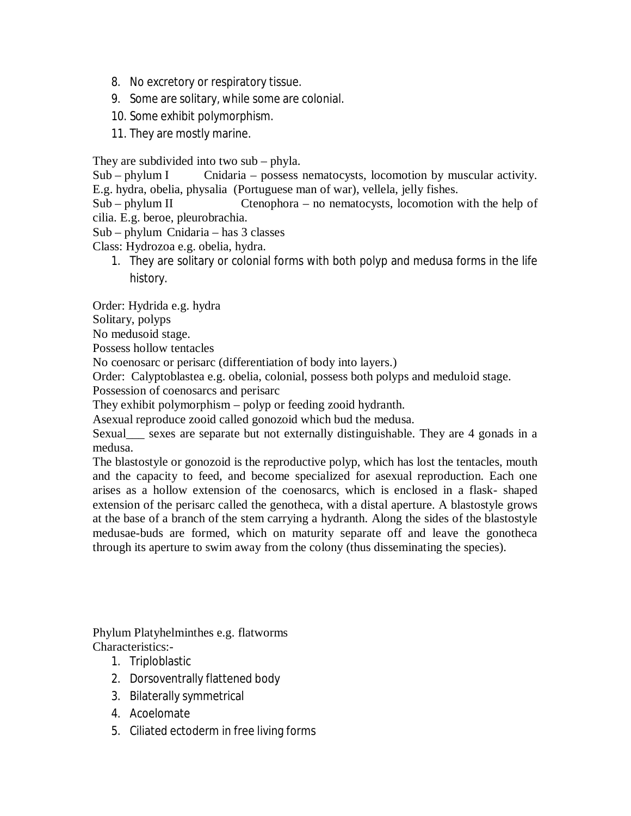- 8. No excretory or respiratory tissue.
- 9. Some are solitary, while some are colonial.
- 10. Some exhibit polymorphism.
- 11. They are mostly marine.

They are subdivided into two sub – phyla.

Sub – phylum I Cnidaria – possess nematocysts, locomotion by muscular activity. E.g. hydra, obelia, physalia (Portuguese man of war), vellela, jelly fishes.

Sub – phylum II Ctenophora – no nematocysts, locomotion with the help of cilia. E.g. beroe, pleurobrachia.

Sub – phylum Cnidaria – has 3 classes

Class: Hydrozoa e.g. obelia, hydra.

1. They are solitary or colonial forms with both polyp and medusa forms in the life history.

Order: Hydrida e.g. hydra

Solitary, polyps

No medusoid stage.

Possess hollow tentacles

No coenosarc or perisarc (differentiation of body into layers.)

Order: Calyptoblastea e.g. obelia, colonial, possess both polyps and meduloid stage.

Possession of coenosarcs and perisarc

They exhibit polymorphism – polyp or feeding zooid hydranth.

Asexual reproduce zooid called gonozoid which bud the medusa.

Sexual\_\_\_ sexes are separate but not externally distinguishable. They are 4 gonads in a medusa.

The blastostyle or gonozoid is the reproductive polyp, which has lost the tentacles, mouth and the capacity to feed, and become specialized for asexual reproduction. Each one arises as a hollow extension of the coenosarcs, which is enclosed in a flask- shaped extension of the perisarc called the genotheca, with a distal aperture. A blastostyle grows at the base of a branch of the stem carrying a hydranth. Along the sides of the blastostyle medusae-buds are formed, which on maturity separate off and leave the gonotheca through its aperture to swim away from the colony (thus disseminating the species).

Phylum Platyhelminthes e.g. flatworms Characteristics:-

- 1. Triploblastic
- 2. Dorsoventrally flattened body
- 3. Bilaterally symmetrical
- 4. Acoelomate
- 5. Ciliated ectoderm in free living forms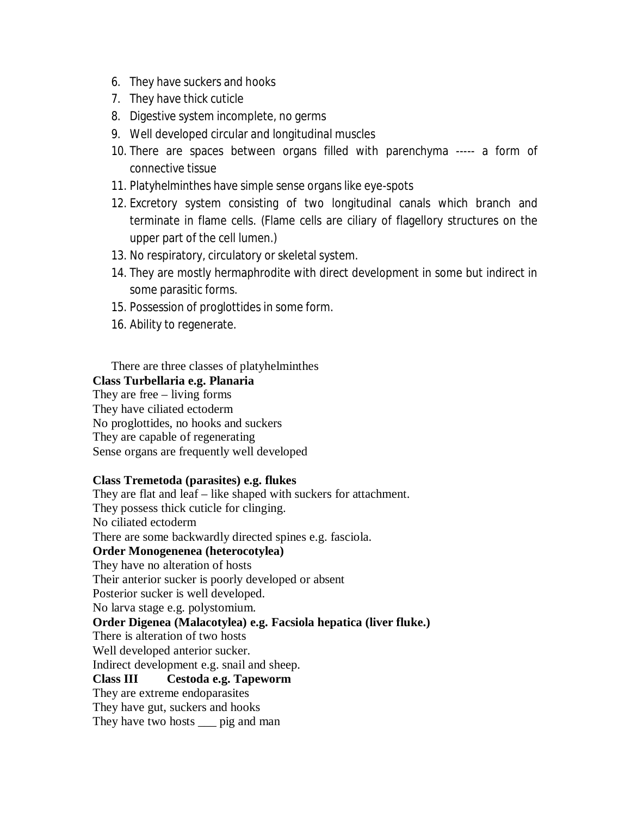- 6. They have suckers and hooks
- 7. They have thick cuticle
- 8. Digestive system incomplete, no germs
- 9. Well developed circular and longitudinal muscles
- 10. There are spaces between organs filled with parenchyma ----- a form of connective tissue
- 11. Platyhelminthes have simple sense organs like eye-spots
- 12. Excretory system consisting of two longitudinal canals which branch and terminate in flame cells. (Flame cells are ciliary of flagellory structures on the upper part of the cell lumen.)
- 13. No respiratory, circulatory or skeletal system.
- 14. They are mostly hermaphrodite with direct development in some but indirect in some parasitic forms.
- 15. Possession of proglottides in some form.
- 16. Ability to regenerate.

There are three classes of platyhelminthes

#### **Class Turbellaria e.g. Planaria**

They are free – living forms They have ciliated ectoderm No proglottides, no hooks and suckers They are capable of regenerating Sense organs are frequently well developed

#### **Class Tremetoda (parasites) e.g. flukes**

They are flat and leaf – like shaped with suckers for attachment. They possess thick cuticle for clinging. No ciliated ectoderm There are some backwardly directed spines e.g. fasciola. **Order Monogenenea (heterocotylea)** They have no alteration of hosts Their anterior sucker is poorly developed or absent Posterior sucker is well developed. No larva stage e.g. polystomium. **Order Digenea (Malacotylea) e.g. Facsiola hepatica (liver fluke.)** There is alteration of two hosts Well developed anterior sucker. Indirect development e.g. snail and sheep. **Class III Cestoda e.g. Tapeworm** They are extreme endoparasites They have gut, suckers and hooks They have two hosts \_\_\_ pig and man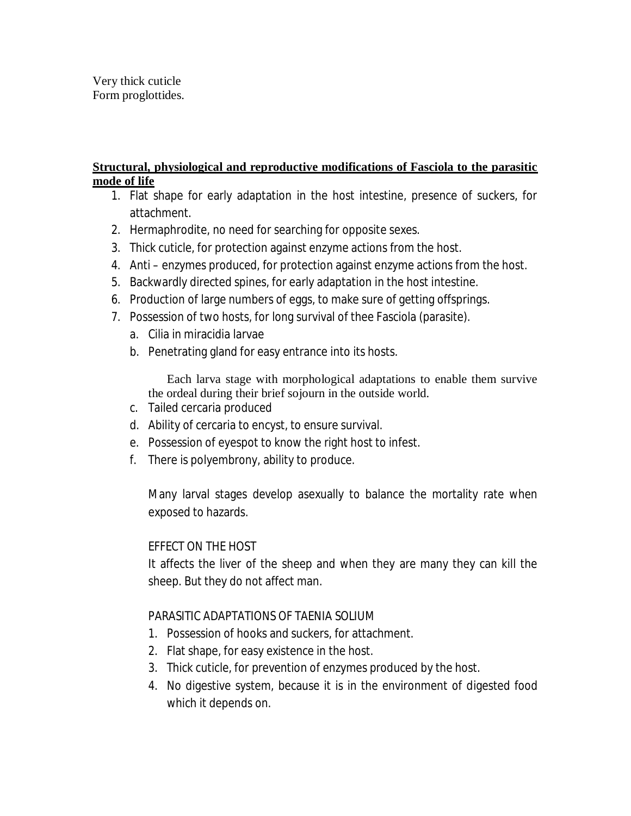# **Structural, physiological and reproductive modifications of Fasciola to the parasitic mode of life**

- 1. Flat shape for early adaptation in the host intestine, presence of suckers, for attachment.
- 2. Hermaphrodite, no need for searching for opposite sexes.
- 3. Thick cuticle, for protection against enzyme actions from the host.
- 4. Anti enzymes produced, for protection against enzyme actions from the host.
- 5. Backwardly directed spines, for early adaptation in the host intestine.
- 6. Production of large numbers of eggs, to make sure of getting offsprings.
- 7. Possession of two hosts, for long survival of thee Fasciola (parasite).
	- a. Cilia in miracidia larvae
	- b. Penetrating gland for easy entrance into its hosts.

Each larva stage with morphological adaptations to enable them survive the ordeal during their brief sojourn in the outside world.

- c. Tailed cercaria produced
- d. Ability of cercaria to encyst, to ensure survival.
- e. Possession of eyespot to know the right host to infest.
- f. There is polyembrony, ability to produce.

Many larval stages develop asexually to balance the mortality rate when exposed to hazards.

# EFFECT ON THE HOST

It affects the liver of the sheep and when they are many they can kill the sheep. But they do not affect man.

# PARASITIC ADAPTATIONS OF TAENIA SOLIUM

- 1. Possession of hooks and suckers, for attachment.
- 2. Flat shape, for easy existence in the host.
- 3. Thick cuticle, for prevention of enzymes produced by the host.
- 4. No digestive system, because it is in the environment of digested food which it depends on.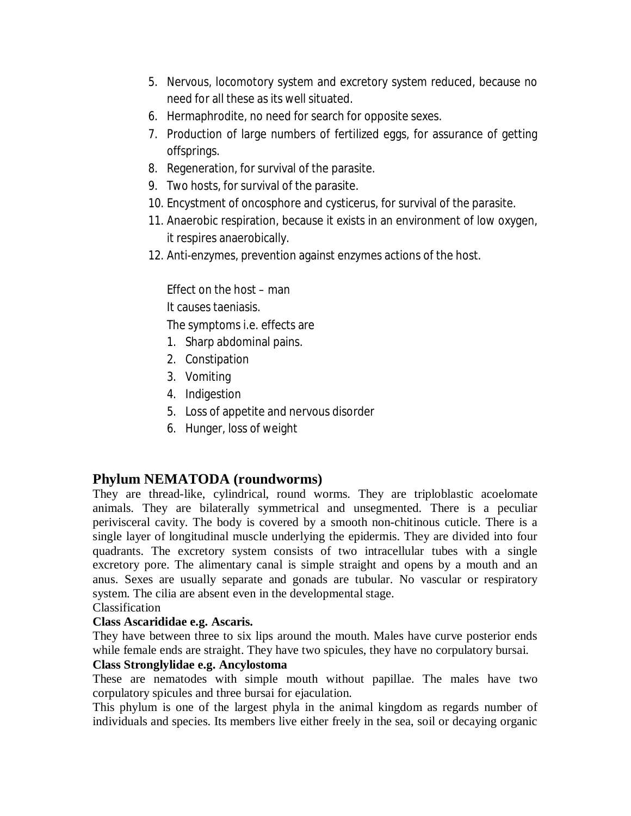- 5. Nervous, locomotory system and excretory system reduced, because no need for all these as its well situated.
- 6. Hermaphrodite, no need for search for opposite sexes.
- 7. Production of large numbers of fertilized eggs, for assurance of getting offsprings.
- 8. Regeneration, for survival of the parasite.
- 9. Two hosts, for survival of the parasite.
- 10. Encystment of oncosphore and cysticerus, for survival of the parasite.
- 11. Anaerobic respiration, because it exists in an environment of low oxygen, it respires anaerobically.
- 12. Anti-enzymes, prevention against enzymes actions of the host.

Effect on the host – man It causes taeniasis.

The symptoms i.e. effects are

- 1. Sharp abdominal pains.
- 2. Constipation
- 3. Vomiting
- 4. Indigestion
- 5. Loss of appetite and nervous disorder
- 6. Hunger, loss of weight

# **Phylum NEMATODA (roundworms)**

They are thread-like, cylindrical, round worms. They are triploblastic acoelomate animals. They are bilaterally symmetrical and unsegmented. There is a peculiar perivisceral cavity. The body is covered by a smooth non-chitinous cuticle. There is a single layer of longitudinal muscle underlying the epidermis. They are divided into four quadrants. The excretory system consists of two intracellular tubes with a single excretory pore. The alimentary canal is simple straight and opens by a mouth and an anus. Sexes are usually separate and gonads are tubular. No vascular or respiratory system. The cilia are absent even in the developmental stage.

Classification

## **Class Ascarididae e.g. Ascaris.**

They have between three to six lips around the mouth. Males have curve posterior ends while female ends are straight. They have two spicules, they have no corpulatory bursai.

## **Class Stronglylidae e.g. Ancylostoma**

These are nematodes with simple mouth without papillae. The males have two corpulatory spicules and three bursai for ejaculation.

This phylum is one of the largest phyla in the animal kingdom as regards number of individuals and species. Its members live either freely in the sea, soil or decaying organic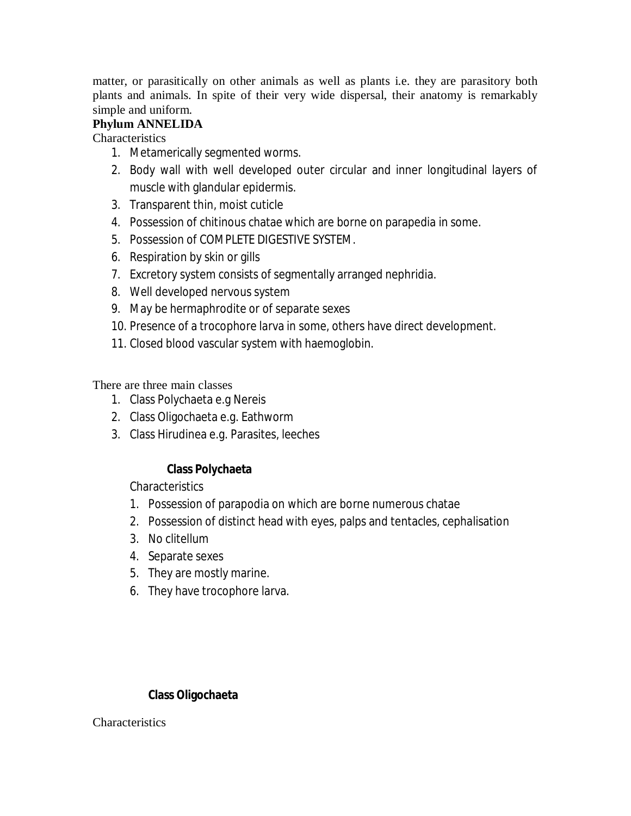matter, or parasitically on other animals as well as plants i.e. they are parasitory both plants and animals. In spite of their very wide dispersal, their anatomy is remarkably simple and uniform.

## **Phylum ANNELIDA**

**Characteristics** 

- 1. Metamerically segmented worms.
- 2. Body wall with well developed outer circular and inner longitudinal layers of muscle with glandular epidermis.
- 3. Transparent thin, moist cuticle
- 4. Possession of chitinous chatae which are borne on parapedia in some.
- 5. Possession of COMPLETE DIGESTIVE SYSTEM.
- 6. Respiration by skin or gills
- 7. Excretory system consists of segmentally arranged nephridia.
- 8. Well developed nervous system
- 9. May be hermaphrodite or of separate sexes
- 10. Presence of a trocophore larva in some, others have direct development.
- 11. Closed blood vascular system with haemoglobin.

There are three main classes

- 1. Class Polychaeta e.g Nereis
- 2. Class Oligochaeta e.g. Eathworm
- 3. Class Hirudinea e.g. Parasites, leeches

## **Class Polychaeta**

**Characteristics** 

- 1. Possession of parapodia on which are borne numerous chatae
- 2. Possession of distinct head with eyes, palps and tentacles, cephalisation
- 3. No clitellum
- 4. Separate sexes
- 5. They are mostly marine.
- 6. They have trocophore larva.

#### **Class Oligochaeta**

**Characteristics**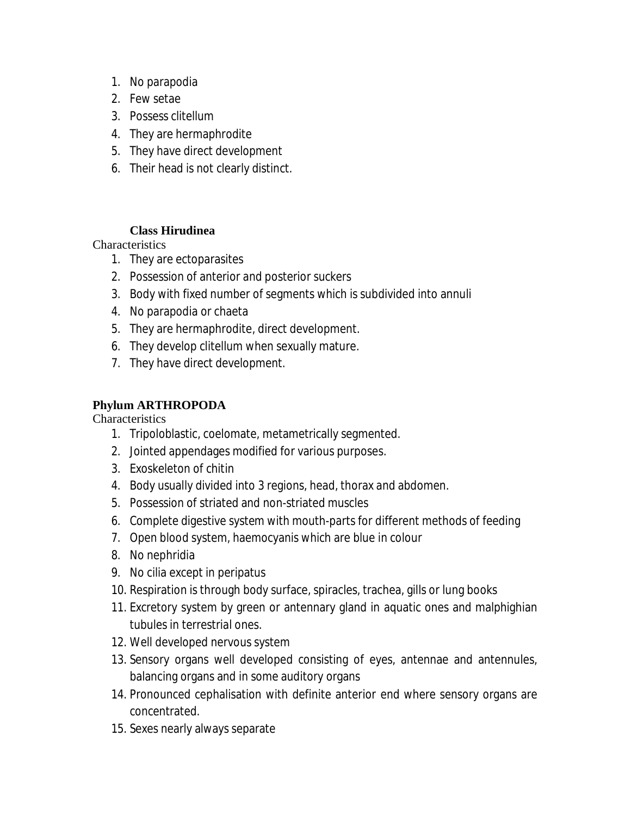- 1. No parapodia
- 2. Few setae
- 3. Possess clitellum
- 4. They are hermaphrodite
- 5. They have direct development
- 6. Their head is not clearly distinct.

## **Class Hirudinea**

**Characteristics** 

- 1. They are ectoparasites
- 2. Possession of anterior and posterior suckers
- 3. Body with fixed number of segments which is subdivided into annuli
- 4. No parapodia or chaeta
- 5. They are hermaphrodite, direct development.
- 6. They develop clitellum when sexually mature.
- 7. They have direct development.

# **Phylum ARTHROPODA**

**Characteristics** 

- 1. Tripoloblastic, coelomate, metametrically segmented.
- 2. Jointed appendages modified for various purposes.
- 3. Exoskeleton of chitin
- 4. Body usually divided into 3 regions, head, thorax and abdomen.
- 5. Possession of striated and non-striated muscles
- 6. Complete digestive system with mouth-parts for different methods of feeding
- 7. Open blood system, haemocyanis which are blue in colour
- 8. No nephridia
- 9. No cilia except in peripatus
- 10. Respiration is through body surface, spiracles, trachea, gills or lung books
- 11. Excretory system by green or antennary gland in aquatic ones and malphighian tubules in terrestrial ones.
- 12. Well developed nervous system
- 13. Sensory organs well developed consisting of eyes, antennae and antennules, balancing organs and in some auditory organs
- 14. Pronounced cephalisation with definite anterior end where sensory organs are concentrated.
- 15. Sexes nearly always separate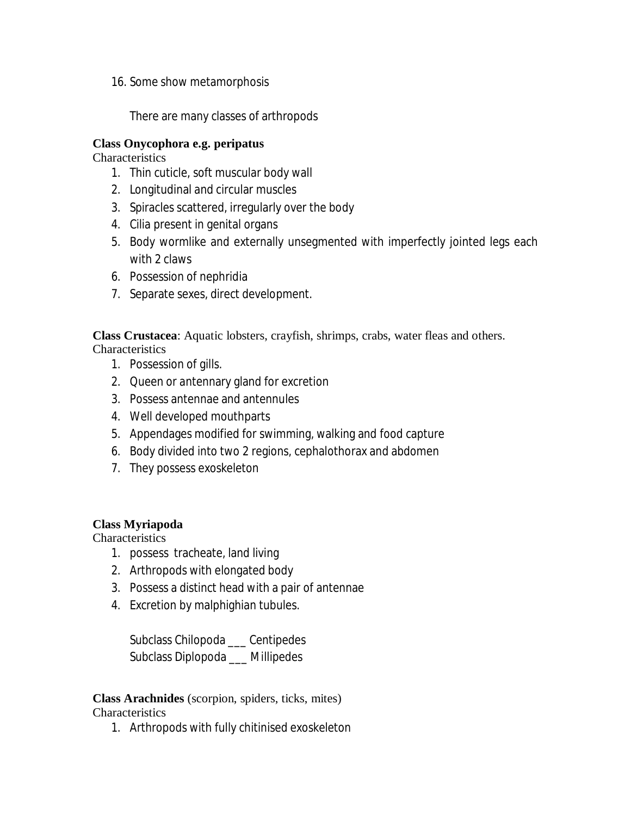16. Some show metamorphosis

There are many classes of arthropods

#### **Class Onycophora e.g. peripatus**

**Characteristics** 

- 1. Thin cuticle, soft muscular body wall
- 2. Longitudinal and circular muscles
- 3. Spiracles scattered, irregularly over the body
- 4. Cilia present in genital organs
- 5. Body wormlike and externally unsegmented with imperfectly jointed legs each with 2 claws
- 6. Possession of nephridia
- 7. Separate sexes, direct development.

**Class Crustacea**: Aquatic lobsters, crayfish, shrimps, crabs, water fleas and others. **Characteristics** 

- 1. Possession of gills.
- 2. Queen or antennary gland for excretion
- 3. Possess antennae and antennules
- 4. Well developed mouthparts
- 5. Appendages modified for swimming, walking and food capture
- 6. Body divided into two 2 regions, cephalothorax and abdomen
- 7. They possess exoskeleton

## **Class Myriapoda**

**Characteristics** 

- 1. possess tracheate, land living
- 2. Arthropods with elongated body
- 3. Possess a distinct head with a pair of antennae
- 4. Excretion by malphighian tubules.

Subclass Chilopoda \_\_\_ Centipedes Subclass Diplopoda \_\_\_ Millipedes

**Class Arachnides** (scorpion, spiders, ticks, mites) Characteristics

1. Arthropods with fully chitinised exoskeleton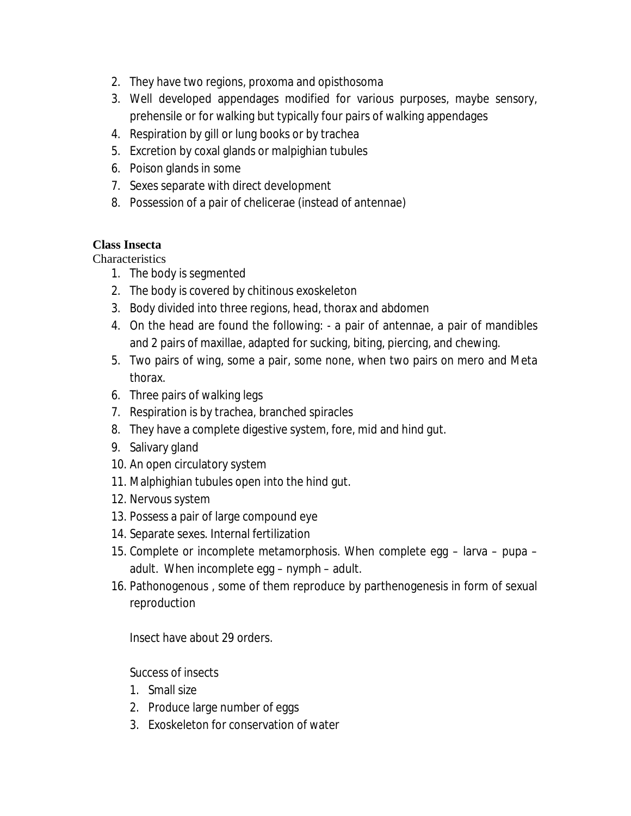- 2. They have two regions, proxoma and opisthosoma
- 3. Well developed appendages modified for various purposes, maybe sensory, prehensile or for walking but typically four pairs of walking appendages
- 4. Respiration by gill or lung books or by trachea
- 5. Excretion by coxal glands or malpighian tubules
- 6. Poison glands in some
- 7. Sexes separate with direct development
- 8. Possession of a pair of chelicerae (instead of antennae)

# **Class Insecta**

**Characteristics** 

- 1. The body is segmented
- 2. The body is covered by chitinous exoskeleton
- 3. Body divided into three regions, head, thorax and abdomen
- 4. On the head are found the following: a pair of antennae, a pair of mandibles and 2 pairs of maxillae, adapted for sucking, biting, piercing, and chewing.
- 5. Two pairs of wing, some a pair, some none, when two pairs on mero and Meta thorax.
- 6. Three pairs of walking legs
- 7. Respiration is by trachea, branched spiracles
- 8. They have a complete digestive system, fore, mid and hind gut.
- 9. Salivary gland
- 10. An open circulatory system
- 11. Malphighian tubules open into the hind gut.
- 12. Nervous system
- 13. Possess a pair of large compound eye
- 14. Separate sexes. Internal fertilization
- 15. Complete or incomplete metamorphosis. When complete egg larva pupa adult. When incomplete egg – nymph – adult.
- 16. Pathonogenous , some of them reproduce by parthenogenesis in form of sexual reproduction

Insect have about 29 orders.

Success of insects

- 1. Small size
- 2. Produce large number of eggs
- 3. Exoskeleton for conservation of water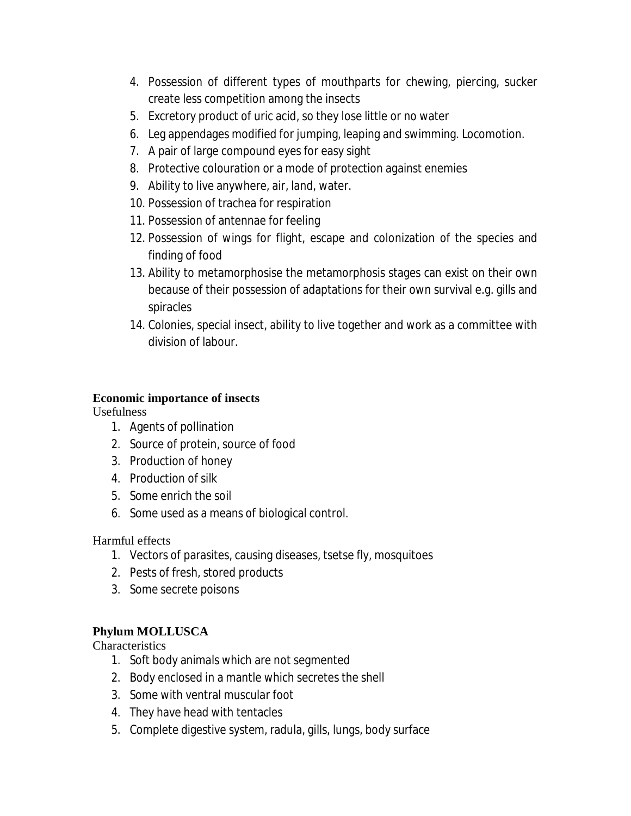- 4. Possession of different types of mouthparts for chewing, piercing, sucker create less competition among the insects
- 5. Excretory product of uric acid, so they lose little or no water
- 6. Leg appendages modified for jumping, leaping and swimming. Locomotion.
- 7. A pair of large compound eyes for easy sight
- 8. Protective colouration or a mode of protection against enemies
- 9. Ability to live anywhere, air, land, water.
- 10. Possession of trachea for respiration
- 11. Possession of antennae for feeling
- 12. Possession of wings for flight, escape and colonization of the species and finding of food
- 13. Ability to metamorphosise the metamorphosis stages can exist on their own because of their possession of adaptations for their own survival e.g. gills and spiracles
- 14. Colonies, special insect, ability to live together and work as a committee with division of labour.

## **Economic importance of insects**

Usefulness

- 1. Agents of pollination
- 2. Source of protein, source of food
- 3. Production of honey
- 4. Production of silk
- 5. Some enrich the soil
- 6. Some used as a means of biological control.

Harmful effects

- 1. Vectors of parasites, causing diseases, tsetse fly, mosquitoes
- 2. Pests of fresh, stored products
- 3. Some secrete poisons

# **Phylum MOLLUSCA**

**Characteristics** 

- 1. Soft body animals which are not segmented
- 2. Body enclosed in a mantle which secretes the shell
- 3. Some with ventral muscular foot
- 4. They have head with tentacles
- 5. Complete digestive system, radula, gills, lungs, body surface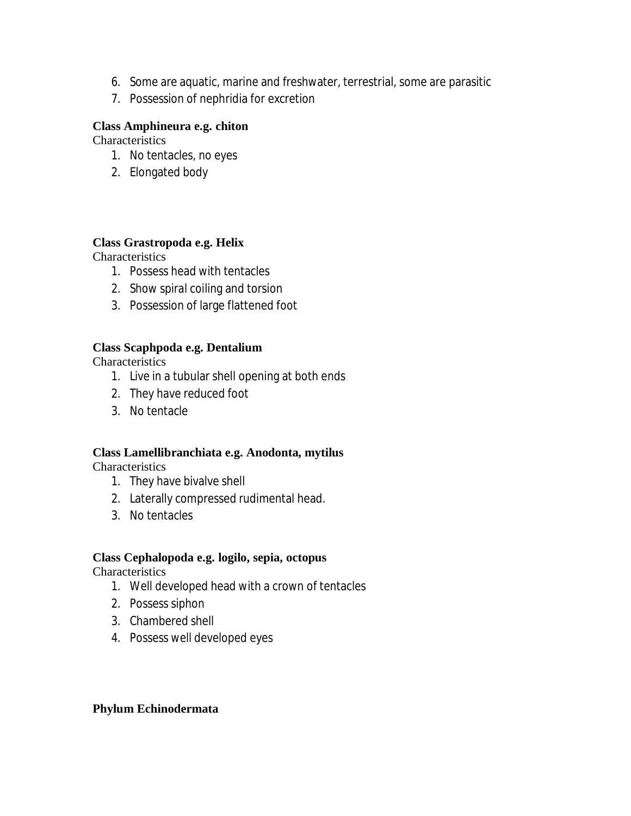- 6. Some are aquatic, marine and freshwater, terrestrial, some are parasitic
- 7. Possession of nephridia for excretion

#### **Class Amphineura e.g. chiton**

**Characteristics** 

- 1. No tentacles, no eyes
- 2. Elongated body

#### **Class Grastropoda e.g. Helix**

**Characteristics** 

- 1. Possess head with tentacles
- 2. Show spiral coiling and torsion
- 3. Possession of large flattened foot

## **Class Scaphpoda e.g. Dentalium**

**Characteristics** 

- 1. Live in a tubular shell opening at both ends
- 2. They have reduced foot
- 3. No tentacle

## **Class Lamellibranchiata e.g. Anodonta, mytilus**

**Characteristics** 

- 1. They have bivalve shell
- 2. Laterally compressed rudimental head.
- 3. No tentacles

#### **Class Cephalopoda e.g. logilo, sepia, octopus**

**Characteristics** 

- 1. Well developed head with a crown of tentacles
- 2. Possess siphon
- 3. Chambered shell
- 4. Possess well developed eyes

## **Phylum Echinodermata**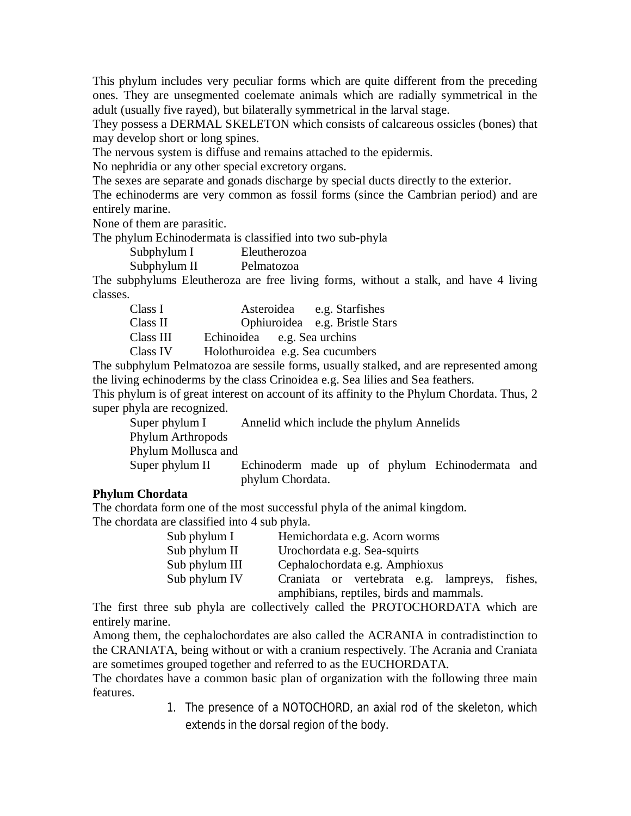This phylum includes very peculiar forms which are quite different from the preceding ones. They are unsegmented coelemate animals which are radially symmetrical in the adult (usually five rayed), but bilaterally symmetrical in the larval stage.

They possess a DERMAL SKELETON which consists of calcareous ossicles (bones) that may develop short or long spines.

The nervous system is diffuse and remains attached to the epidermis.

No nephridia or any other special excretory organs.

The sexes are separate and gonads discharge by special ducts directly to the exterior.

The echinoderms are very common as fossil forms (since the Cambrian period) and are entirely marine.

None of them are parasitic.

The phylum Echinodermata is classified into two sub-phyla

| Subphylum I |  |       |  | Eleutherozoa |
|-------------|--|-------|--|--------------|
|             |  | 01111 |  |              |

Subphylum II Pelmatozoa

The subphylums Eleutheroza are free living forms, without a stalk, and have 4 living classes.

| Class I   | Asteroidea | e.g. Starfishes                |
|-----------|------------|--------------------------------|
| Class II  |            | Ophiuroidea e.g. Bristle Stars |
| Class III | Echinoidea | e.g. Sea urchins               |

Class IV Holothuroidea e.g. Sea cucumbers

The subphylum Pelmatozoa are sessile forms, usually stalked, and are represented among the living echinoderms by the class Crinoidea e.g. Sea lilies and Sea feathers.

This phylum is of great interest on account of its affinity to the Phylum Chordata. Thus, 2 super phyla are recognized.

| Super phylum I      | Annelid which include the phylum Annelids |  |  |                                                |  |
|---------------------|-------------------------------------------|--|--|------------------------------------------------|--|
| Phylum Arthropods   |                                           |  |  |                                                |  |
| Phylum Mollusca and |                                           |  |  |                                                |  |
| Super phylum II     |                                           |  |  | Echinoderm made up of phylum Echinodermata and |  |
|                     | phylum Chordata.                          |  |  |                                                |  |

## **Phylum Chordata**

The chordata form one of the most successful phyla of the animal kingdom. The chordata are classified into 4 sub phyla.

| Sub phylum I   | Hemichordata e.g. Acorn worms                    |  |  |  |
|----------------|--------------------------------------------------|--|--|--|
| Sub phylum II  | Urochordata e.g. Sea-squirts                     |  |  |  |
| Sub phylum III | Cephalochordata e.g. Amphioxus                   |  |  |  |
| Sub phylum IV  | Craniata or vertebrata e.g. lampreys,<br>fishes, |  |  |  |
|                | amphibians, reptiles, birds and mammals.         |  |  |  |

The first three sub phyla are collectively called the PROTOCHORDATA which are entirely marine.

Among them, the cephalochordates are also called the ACRANIA in contradistinction to the CRANIATA, being without or with a cranium respectively. The Acrania and Craniata are sometimes grouped together and referred to as the EUCHORDATA.

The chordates have a common basic plan of organization with the following three main features.

> 1. The presence of a NOTOCHORD, an axial rod of the skeleton, which extends in the dorsal region of the body.